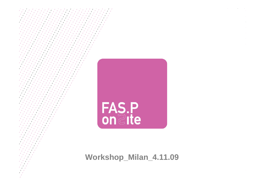

**Workshop\_Milan\_4.11.09**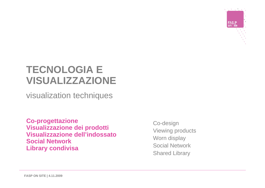visualization techniques

**Co-progettazione Visualizzazione dei prodotti Visualizzazione dell'indossato Social Network Library condivisa**

Co-design Viewing products Worn display Social Network Shared Library

FAS.P<br>on ite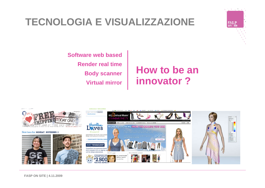**Software web basedRender real timeBody scanner Virtual mirror**

#### **How to be an innovator ?**

FAS.P<br>on ite



New tees for MONDAY, NOVEMBER 2



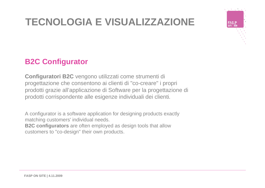

#### **B2C Configurator**

**Configuratori B2C** vengono utilizzati come strumenti di progettazione che consentono ai clienti di "co-creare" i propri prodotti grazie all'applicazione di Software per la progettazione di prodotti corrispondente alle esigenze individuali dei clienti*.*

A configurator is a software application for designing products exactly matching customers' individual needs. **B2C configurators** are often employed as design tools that allow customers to "co-design" their own products.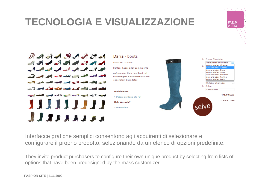

FAS.P<br>on ite

Interfacce grafiche semplici consentono agli acquirenti di selezionare e configurare il proprio prodotto, selezionando da un elenco di opzioni predefinite.

They invite product purchasers to configure their own unique product by selecting from lists of options that have been predesigned by the mass customizer.

**FASP ON SITE | 4.11.2009**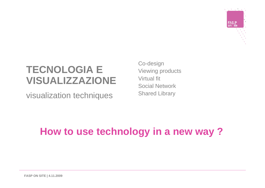visualization techniques

Co-design Viewing products Virtual fit Social Network Shared Library

FAS.P<br>on ite

## **How to use technology in a new way ?**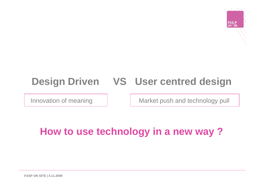# **Design Driven VS User centred design**

Innovation of meaning

Market push and technology pull

## **How to use technology in a new way ?**

**FASP ON SITE | 4.11.2009**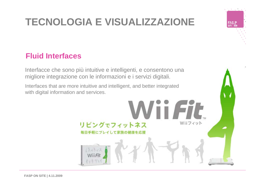#### **Fluid Interfaces**

Interfacce che sono più intuitive e intelligenti, e consentono una migliore integrazione con le informazioni e i servizi digitali.

Interfaces that are more intuitive and intelligent, and better integrated with digital information and services.



FAS.P<br>on ite